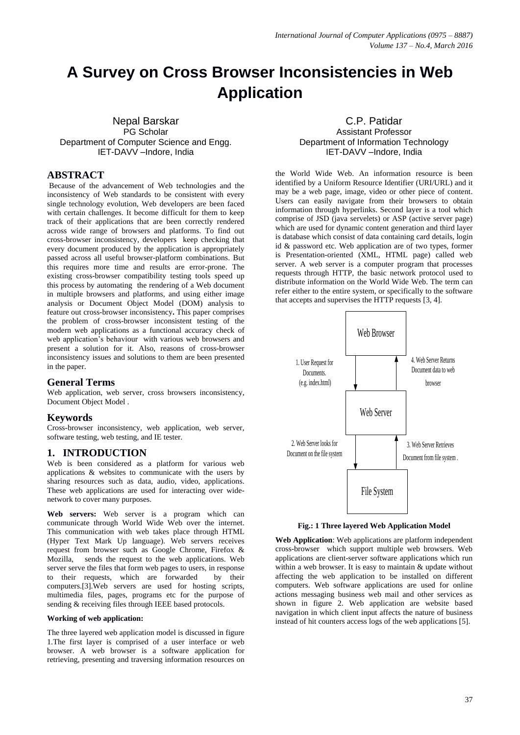# **A Survey on Cross Browser Inconsistencies in Web Application**

Nepal Barskar PG Scholar Department of Computer Science and Engg. IET-DAVV –Indore, India

## **ABSTRACT**

Because of the advancement of Web technologies and the inconsistency of Web standards to be consistent with every single technology evolution, Web developers are been faced with certain challenges. It become difficult for them to keep track of their applications that are been correctly rendered across wide range of browsers and platforms. To find out cross-browser inconsistency, developers keep checking that every document produced by the application is appropriately passed across all useful browser-platform combinations. But this requires more time and results are error-prone. The existing cross-browser compatibility testing tools speed up this process by automating the rendering of a Web document in multiple browsers and platforms, and using either image analysis or Document Object Model (DOM) analysis to feature out cross-browser inconsistency**.** This paper comprises the problem of cross-browser inconsistent testing of the modern web applications as a functional accuracy check of web application's behaviour with various web browsers and present a solution for it. Also, reasons of cross-browser inconsistency issues and solutions to them are been presented in the paper.

#### **General Terms**

Web application, web server, cross browsers inconsistency, Document Object Model .

## **Keywords**

Cross-browser inconsistency, web application, web server, software testing, web testing, and IE tester.

## **1. INTRODUCTION**

Web is been considered as a platform for various web applications & websites to communicate with the users by sharing resources such as data, audio, video, applications. These web applications are used for interacting over widenetwork to cover many purposes.

**Web servers:** Web server is a program which can communicate through World Wide Web over the internet. This communication with web takes place through HTML (Hyper Text Mark Up language). Web servers receives request from browser such as Google Chrome, Firefox & Mozilla, sends the request to the web applications. Web server serve the files that form web pages to users, in response to their requests, which are forwarded by their computers.[3].Web servers are used for hosting scripts, multimedia files, pages, programs etc for the purpose of sending & receiving files through IEEE based protocols.

#### **Working of web application:**

The three layered web application model is discussed in figure 1.The first layer is comprised of a user interface or web browser. A web browser is a [software application](https://en.wikipedia.org/wiki/Software_application) for retrieving, presenting and traversing information resources on

C.P. Patidar Assistant Professor Department of Information Technology IET-DAVV –Indore, India

the [World Wide Web.](https://en.wikipedia.org/wiki/World_Wide_Web) An information resource is been identified by [a Uniform Resource Identifier](https://en.wikipedia.org/wiki/Uniform_Resource_Identifier) (URI/URL) and it may be a [web page,](https://en.wikipedia.org/wiki/Web_page) image, video or other piece of content. Users can easily navigate from their browsers to obtain information through hyperlinks. Second layer is a tool which comprise of JSD (java servelets) or ASP (active server page) which are used for dynamic content generation and third layer is database which consist of data containing card details, login id & password etc. Web application are of two types, former is Presentation-oriented (XML, HTML page) called web server. A web server is a computer program that processes requests through HTTP, the basic network protocol used to distribute information on the World Wide Web. The term can refer either to the entire system, or specifically to the software that accepts and supervises the HTTP requests [3, 4].



**Fig.: 1 Three layered Web Application Model**

**Web Application**: Web applications are platform independent cross-browser which support multiple web browsers. Web applications are client-server software applications which run within a web browser. It is easy to maintain & update without affecting the web application to be installed on different computers. Web software applications are used for online actions messaging business web mail and other services as shown in figure 2. Web application are website based navigation in which client input affects the nature of business instead of hit counters access logs of the web applications [5].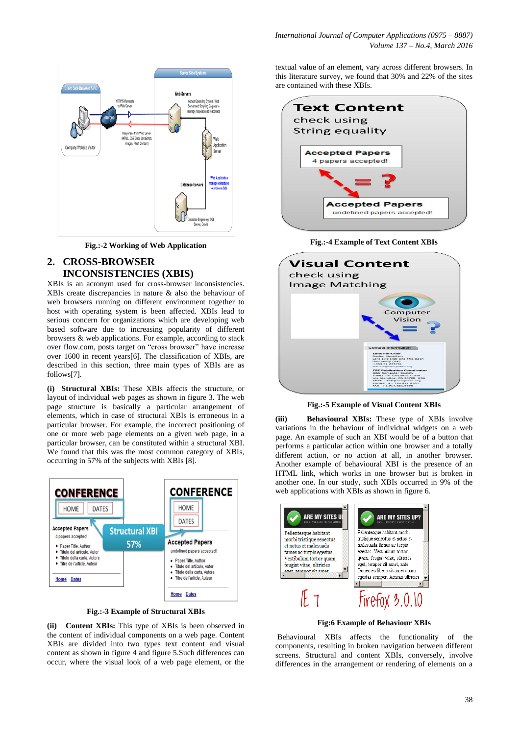

**Fig.:-2 Working of Web Application**

# **2. CROSS-BROWSER INCONSISTENCIES (XBIS)**

XBIs is an acronym used for cross-browser inconsistencies. XBIs create discrepancies in nature & also the behaviour of web browsers running on different environment together to host with operating system is been affected. XBIs lead to serious concern for organizations which are developing web based software due to increasing popularity of different browsers & web applications. For example, according to stack over flow.com, posts target on "cross browser" have increase over 1600 in recent years[6]. The classification of XBIs, are described in this section, three main types of XBIs are as follows[7].

**(i) Structural XBIs:** These XBIs affects the structure, or layout of individual web pages as shown in figure 3. The web page structure is basically a particular arrangement of elements, which in case of structural XBIs is erroneous in a particular browser. For example, the incorrect positioning of one or more web page elements on a given web page, in a particular browser, can be constituted within a structural XBI. We found that this was the most common category of XBIs, occurring in 57% of the subjects with XBIs [8].



**Fig.:-3 Example of Structural XBIs**

**(ii) Content XBIs:** This type of XBIs is been observed in the content of individual components on a web page. Content XBIs are divided into two types text content and visual content as shown in figure 4 and figure 5.Such differences can occur, where the visual look of a web page element, or the

textual value of an element, vary across different browsers. In this literature survey, we found that 30% and 22% of the sites are contained with these XBIs.



**Fig.:-4 Example of Text Content XBIs** 

| check using           | <b>Visual Content</b>                                                                                                                                 |
|-----------------------|-------------------------------------------------------------------------------------------------------------------------------------------------------|
| <b>Image Matching</b> |                                                                                                                                                       |
|                       | Computer<br>Vision                                                                                                                                    |
|                       |                                                                                                                                                       |
|                       |                                                                                                                                                       |
|                       | Contact Information<br>Editor-in-Chief<br>Bashar Nuselbeh<br>Lero (Ireland) and The Open<br>University (UK)<br>+353 61 233761<br>tse-elc@computer.org |

**Fig.:-5 Example of Visual Content XBIs**

**(iii) Behavioural XBIs:** These type of XBIs involve variations in the behaviour of individual widgets on a web page. An example of such an XBI would be of a button that performs a particular action within one browser and a totally different action, or no action at all, in another browser. Another example of behavioural XBI is the presence of an HTML link, which works in one browser but is broken in another one. In our study, such XBIs occurred in 9% of the web applications with XBIs as shown in figure 6.



**Fig:6 Example of Behaviour XBIs**

Behavioural XBIs affects the functionality of the components, resulting in broken navigation between different screens. Structural and content XBIs, conversely, involve differences in the arrangement or rendering of elements on a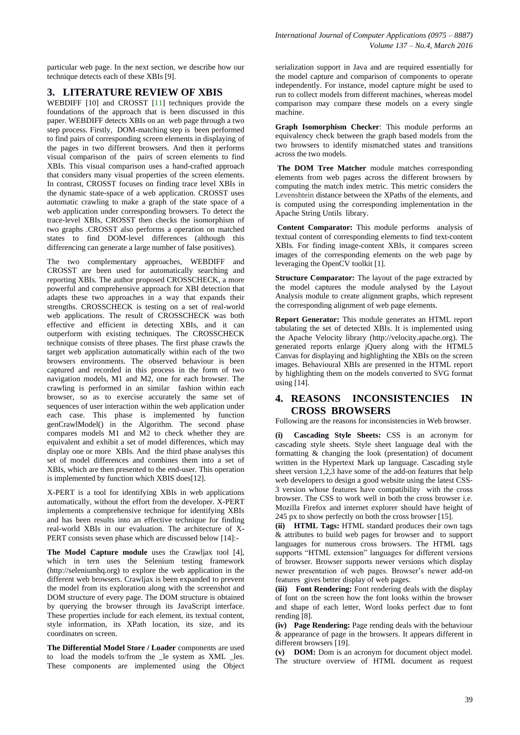particular web page. In the next section, we describe how our technique detects each of these XBIs [9].

# **3. LITERATURE REVIEW OF XBIS**

WEBDIFF [10] and CROSST [11] techniques provide the foundations of the approach that is been discussed in this paper. WEBDIFF detects XBIs on an web page through a two step process. Firstly, DOM-matching step is been performed to find pairs of corresponding screen elements in displaying of the pages in two different browsers. And then it performs visual comparison of the pairs of screen elements to find XBIs. This visual comparison uses a hand-crafted approach that considers many visual properties of the screen elements. In contrast, CROSST focuses on finding trace level XBIs in the dynamic state-space of a web application. CROSST uses automatic crawling to make a graph of the state space of a web application under corresponding browsers. To detect the trace-level XBIs, CROSST then checks the isomorphism of two graphs .CROSST also performs a operation on matched states to find DOM-level differences (although this differencing can generate a large number of false positives).

The two complementary approaches, WEBDIFF and CROSST are been used for automatically searching and reporting XBIs. The author proposed CROSSCHECK, a more powerful and comprehensive approach for XBI detection that adapts these two approaches in a way that expands their strengths. CROSSCHECK is testing on a set of real-world web applications. The result of CROSSCHECK was both effective and efficient in detecting XBIs, and it can outperform with existing techniques. The CROSSCHECK technique consists of three phases. The first phase crawls the target web application automatically within each of the two browsers environments. The observed behaviour is been captured and recorded in this process in the form of two navigation models, M1 and M2, one for each browser. The crawling is performed in an similar fashion within each browser, so as to exercise accurately the same set of sequences of user interaction within the web application under each case. This phase is implemented by function genCrawlModel() in the Algorithm. The second phase compares models M1 and M2 to check whether they are equivalent and exhibit a set of model differences, which may display one or more XBIs. And the third phase analyses this set of model differences and combines them into a set of XBIs, which are then presented to the end-user. This operation is implemented by function which XBIS does[12].

X-PERT is a tool for identifying XBIs in web applications automatically, without the effort from the developer. X-PERT implements a comprehensive technique for identifying XBIs and has been results into an effective technique for finding real-world XBIs in our evaluation. The architecture of X-PERT consists seven phase which are discussed below [14]:-

**The Model Capture module** uses the Crawljax tool [4], which in tern uses the Selenium testing framework (http://seleniumhq.org) to explore the web application in the different web browsers. Crawljax is been expanded to prevent the model from its exploration along with the screenshot and DOM structure of every page. The DOM structure is obtained by querying the browser through its JavaScript interface. These properties include for each element, its textual content, style information, its XPath location, its size, and its coordinates on screen.

**The Differential Model Store / Loader** components are used to load the models to/from the \_le system as XML \_les. These components are implemented using the Object

serialization support in Java and are required essentially for the model capture and comparison of components to operate independently. For instance, model capture might be used to run to collect models from different machines, whereas model comparison may compare these models on a every single machine.

**Graph Isomorphism Checker**: This module performs an equivalency check between the graph based models from the two browsers to identify mismatched states and transitions across the two models.

**The DOM Tree Matcher** module matches corresponding elements from web pages across the different browsers by computing the match index metric. This metric considers the Levenshtein distance between the XPaths of the elements, and is computed using the corresponding implementation in the Apache String Untils library.

**Content Comparator:** This module performs analysis of textual content of corresponding elements to find text-content XBIs. For finding image-content XBIs, it compares screen images of the corresponding elements on the web page by leveraging the OpenCV toolkit [1].

**Structure Comparator:** The layout of the page extracted by the model captures the module analysed by the Layout Analysis module to create alignment graphs, which represent the corresponding alignment of web page elements.

**Report Generator:** This module generates an HTML report tabulating the set of detected XBIs. It is implemented using the Apache Velocity library (http://velocity.apache.org). The generated reports enlarge jQuery along with the HTML5 Canvas for displaying and highlighting the XBIs on the screen images. Behavioural XBIs are presented in the HTML report by highlighting them on the models converted to SVG format using [14].

## **4. REASONS INCONSISTENCIES IN CROSS BROWSERS**

Following are the reasons for inconsistencies in Web browser.

**(i) Cascading Style Sheets:** CSS is an acronym for cascading style sheets. Style sheet language deal with the formatting & changing the look (presentation) of document written in the Hypertext Mark up language. Cascading style sheet version 1,2,3 have some of the add-on features that help web developers to design a good website using the latest CSS-3 version whose features have compatibility with the cross browser. The CSS to work well in both the cross browser i.e. Mozilla Firefox and internet explorer should have height of 245 px to show perfectly on both the cross browser [15].

**(ii) HTML Tags:** HTML standard produces their own tags & attributes to build web pages for browser and to support languages for numerous cross browsers. The HTML tags supports "HTML extension" languages for different versions of browser. Browser supports newer versions which display newer presentation of web pages. Browser's newer add-on features gives better display of web pages.

**(iii) Font Rendering:** Font rendering deals with the display of font on the screen how the font looks within the browser and shape of each letter, Word looks perfect due to font rending [8].

**(iv) Page Rendering:** Page rending deals with the behaviour & appearance of page in the browsers. It appears different in different browsers [19].

**(v) DOM:** Dom is an acronym for document object model. The structure overview of HTML document as request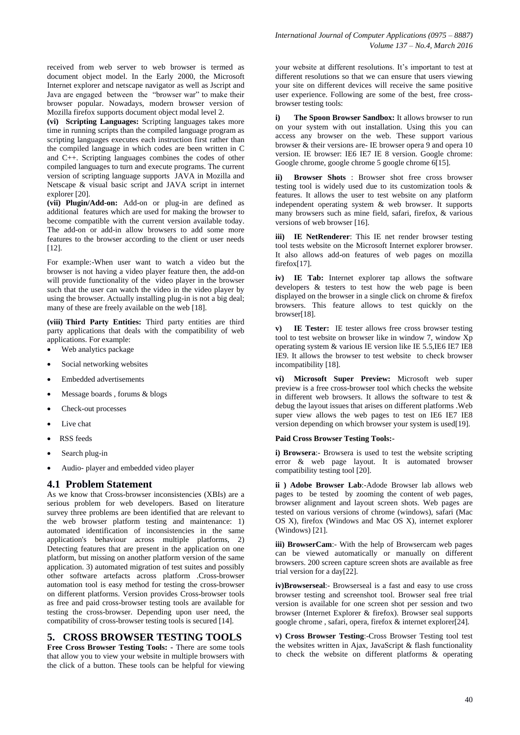received from web server to web browser is termed as document object model. In the Early 2000, the Microsoft Internet explorer and netscape navigator as well as Jscript and Java are engaged between the "browser war" to make their browser popular. Nowadays, modern browser version of Mozilla firefox supports document object modal level 2.

**(vi) Scripting Languages:** Scripting languages takes more time in running scripts than the compiled language program as scripting languages executes each instruction first rather than the compiled language in which codes are been written in C and C++. Scripting languages combines the codes of other compiled languages to turn and execute programs. The current version of scripting language supports JAVA in Mozilla and Netscape & visual basic script and JAVA script in internet explorer [20].

**(vii) Plugin/Add-on:** Add-on or plug-in are defined as additional features which are used for making the browser to become compatible with the current version available today. The add-on or add-in allow browsers to add some more features to the browser according to the client or user needs [12].

For example:-When user want to watch a video but the browser is not having a video player feature then, the add-on will provide functionality of the video player in the browser such that the user can watch the video in the video player by using the browser. Actually installing plug-in is not a big deal; many of these are freely available on the web [18].

**(viii) Third Party Entities:** Third party entities are third party applications that deals with the compatibility of web applications. For example:

- Web analytics package
- Social networking websites
- Embedded advertisements
- Message boards , forums & blogs
- Check-out processes
- Live chat
- RSS feeds
- Search plug-in
- Audio- player and embedded video player

## **4.1 Problem Statement**

As we know that Cross-browser inconsistencies (XBIs) are a serious problem for web developers. Based on literature survey three problems are been identified that are relevant to the web browser platform testing and maintenance: 1) automated identification of inconsistencies in the same application's behaviour across multiple platforms, 2) Detecting features that are present in the application on one platform, but missing on another platform version of the same application. 3) automated migration of test suites and possibly other software artefacts across platform .Cross-browser automation tool is easy method for testing the cross-browser on different platforms. Version provides Cross-browser tools as free and paid cross-browser testing tools are available for testing the cross-browser. Depending upon user need, the compatibility of cross-browser testing tools is secured [14].

## **5. CROSS BROWSER TESTING TOOLS**

**Free Cross Browser Testing Tools: -** There are some tools that allow you to view your website in multiple browsers with the click of a button. These tools can be helpful for viewing

your website at different resolutions. It's important to test at different resolutions so that we can ensure that users viewing your site on different devices will receive the same positive user experience. Following are some of the best, free crossbrowser testing tools:

**i) The Spoon Browser Sandbox:** It allows browser to run on your system with out installation. Using this you can access any browser on the web. These support various browser & their versions are- IE browser opera 9 and opera 10 version. IE browser: IE6 IE7 IE 8 version. Google chrome: Google chrome, google chrome 5 google chrome 6[15].

**ii) Browser Shots** : Browser shot free cross browser testing tool is widely used due to its customization tools & features. It allows the user to test website on any platform independent operating system & web browser. It supports many browsers such as mine field, safari, firefox, & various versions of web browser [16].

**iii) IE NetRenderer**: This IE net render browser testing tool tests website on the Microsoft Internet explorer browser. It also allows add-on features of web pages on mozilla firefox[17].

**iv) IE Tab:** Internet explorer tap allows the software developers & testers to test how the web page is been displayed on the browser in a single click on chrome & firefox browsers. This feature allows to test quickly on the browser[18].

**v) IE Tester:** IE tester allows free cross browser testing tool to test website on browser like in window 7, window Xp operating system & various IE version like IE 5.5,IE6 IE7 IE8 IE9. It allows the browser to test website to check browser incompatibility [18].

**vi) Microsoft Super Preview:** Microsoft web super preview is a free cross-browser tool which checks the website in different web browsers. It allows the software to test  $\&$ debug the layout issues that arises on different platforms .Web super view allows the web pages to test on IE6 IE7 IE8 version depending on which browser your system is used[19].

#### **Paid Cross Browser Testing Tools:-**

**i) [Browsera](http://www.browsera.com/)**:- Browsera is used to test the website scripting error & web page layout. It is automated browser compatibility testing tool [20].

**ii ) [Adobe Browser](http://browserlab.adobe.com/) Lab**:-Adode Browser lab allows web pages to be tested by zooming the content of web pages, browser alignment and layout screen shots. Web pages are tested on various versions of chrome (windows), safari (Mac OS X), firefox (Windows and Mac OS X), internet explorer (Windows) [21].

**iii) [BrowserCam](http://www.browsercam.com/)**:- With the help of Browsercam web pages can be viewed automatically or manually on different browsers. 200 screen capture screen shots are available as free trial version for a day[22].

**iv[\)Browserseal](http://www.browserseal.com/index.php?option=com_content&view=article&id=7&Itemid=16)**:- Browserseal is a fast and easy to use cross browser testing and screenshot tool. Browser seal free trial version is available for one screen shot per session and two browser (Internet Explorer & firefox). Browser seal supports google chrome , safari, opera, firefox & internet explorer[24].

**v) [Cross Browser Testing](http://crossbrowsertesting.com/)**:-Cross Browser Testing tool test the websites written in Ajax, JavaScript & flash functionality to check the website on different platforms & operating